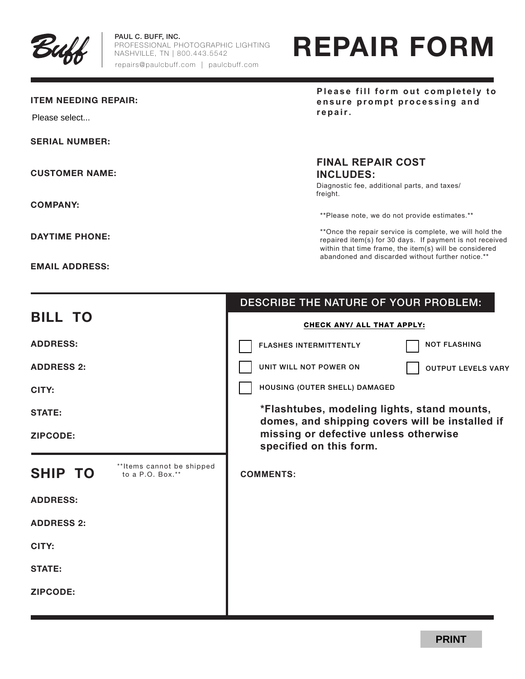

PAUL C. BUFF, INC. PROFESSIONAL PHOTOGRAPHIC LIGHTING NASHVILLE, TN | 800.443.5542 repairs@paulcbuff.com | paulcbuff.com

# REPAIR FORM

## ITEM NEEDING REPAIR:

Please select...

SERIAL NUMBER:

CUSTOMER NAME:

COMPANY:

DAYTIME PHONE:

EMAIL ADDRESS:

**Please fill form out completely to ensure prompt processing and repair.**

# **FINAL REPAIR COST INCLUDES:**

Diagnostic fee, additional parts, and taxes/ freight.

\*\*Please note, we do not provide estimates.\*\*

\*\*Once the repair service is complete, we will hold the repaired item(s) for 30 days. If payment is not received within that time frame, the item(s) will be considered abandoned and discarded without further notice.\*\*

|                                                                  | DESCRIBE THE NATURE OF YOUR PROBLEM:                                                           |
|------------------------------------------------------------------|------------------------------------------------------------------------------------------------|
| <b>BILL TO</b>                                                   | CHECK ANY/ ALL THAT APPLY:                                                                     |
| <b>ADDRESS:</b>                                                  | <b>NOT FLASHING</b><br><b>FLASHES INTERMITTENTLY</b>                                           |
| <b>ADDRESS 2:</b>                                                | UNIT WILL NOT POWER ON<br><b>OUTPUT LEVELS VARY</b>                                            |
| CITY:                                                            | HOUSING (OUTER SHELL) DAMAGED                                                                  |
| <b>STATE:</b>                                                    | *Flashtubes, modeling lights, stand mounts,<br>domes, and shipping covers will be installed if |
| <b>ZIPCODE:</b>                                                  | missing or defective unless otherwise<br>specified on this form.                               |
|                                                                  |                                                                                                |
| **Items cannot be shipped<br><b>SHIP TO</b><br>to a $P.O. Box.*$ | <b>COMMENTS:</b>                                                                               |
| <b>ADDRESS:</b>                                                  |                                                                                                |
| <b>ADDRESS 2:</b>                                                |                                                                                                |
| CITY:                                                            |                                                                                                |
| <b>STATE:</b>                                                    |                                                                                                |
| ZIPCODE:                                                         |                                                                                                |